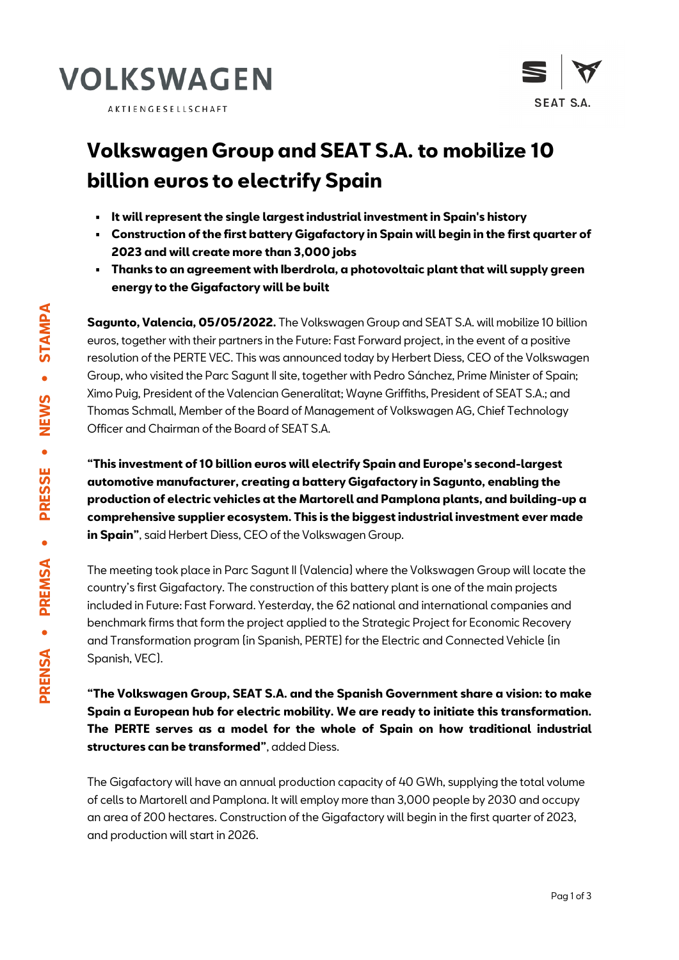





## **Volkswagen Group and SEAT S.A. to mobilize 10 billion euros to electrify Spain**

- **It will represent the single largest industrial investment in Spain's history**
- **Construction of the first battery Gigafactory in Spain will begin in the first quarter of 2023 and will create more than 3,000 jobs**
- **Thanks to an agreement with Iberdrola, a photovoltaic plant that will supply green energy to the Gigafactory will be built**

**Sagunto, Valencia, 05/05/2022.** The Volkswagen Group and SEAT S.A. will mobilize 10 billion euros, together with their partners in the Future: Fast Forward project, in the event of a positive resolution of the PERTE VEC. This was announced today by Herbert Diess, CEO of the Volkswagen Group, who visited the Parc Sagunt II site, together with Pedro Sánchez, Prime Minister of Spain; Ximo Puig, President of the Valencian Generalitat; Wayne Griffiths, President of SEAT S.A.; and Thomas Schmall, Member of the Board of Management of Volkswagen AG, Chief Technology Officer and Chairman of the Board of SEAT S.A.

**"This investment of 10 billion euros will electrify Spain and Europe's second-largest automotive manufacturer, creating a battery Gigafactory in Sagunto, enabling the production of electric vehicles at the Martorell and Pamplona plants, and building-up a comprehensive supplier ecosystem. This is the biggest industrial investment ever made in Spain"**, said Herbert Diess, CEO of the Volkswagen Group.

The meeting took place in Parc Sagunt II (Valencia) where the Volkswagen Group will locate the country's first Gigafactory. The construction of this battery plant is one of the main projects included in Future: Fast Forward. Yesterday, the 62 national and international companies and benchmark firms that form the project applied to the Strategic Project for Economic Recovery and Transformation program (in Spanish, PERTE) for the Electric and Connected Vehicle (in Spanish, VEC).

**"The Volkswagen Group, SEAT S.A. and the Spanish Government share a vision: to make Spain a European hub for electric mobility. We are ready to initiate this transformation. The PERTE serves as a model for the whole of Spain on how traditional industrial structures can be transformed"**, added Diess.

The Gigafactory will have an annual production capacity of 40 GWh, supplying the total volume of cells to Martorell and Pamplona. It will employ more than 3,000 people by 2030 and occupy an area of 200 hectares. Construction of the Gigafactory will begin in the first quarter of 2023, and production will start in 2026.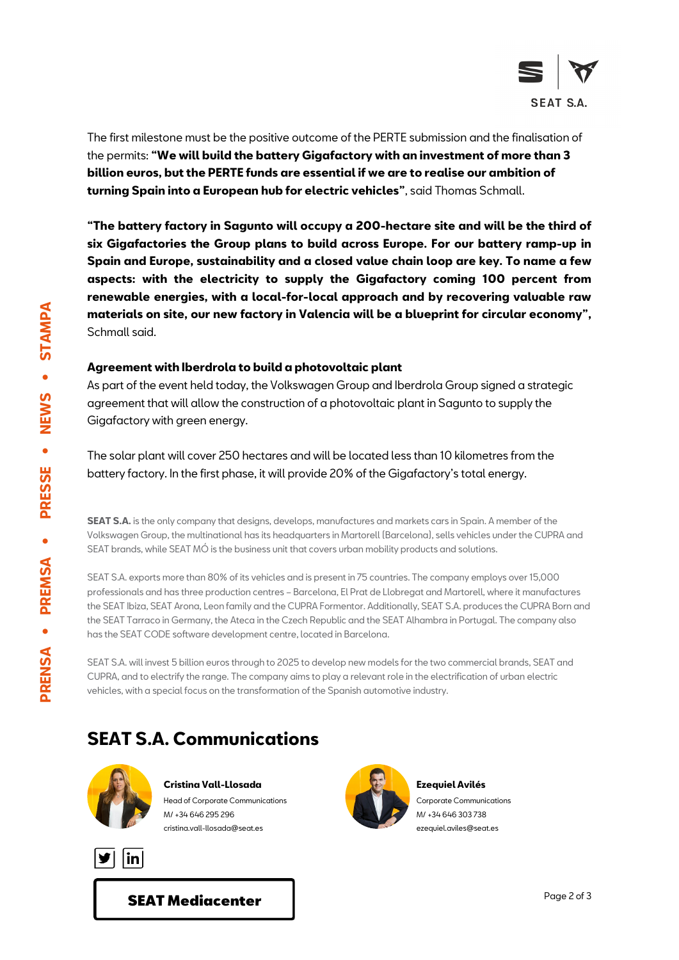

The first milestone must be the positive outcome of the PERTE submission and the finalisation of the permits: **"We will build the battery Gigafactory with an investment of more than 3 billion euros, but the PERTE funds are essential if we are to realise our ambition of turning Spain into a European hub for electric vehicles"**, said Thomas Schmall.

**"The battery factory in Sagunto will occupy a 200-hectare site and will be the third of six Gigafactories the Group plans to build across Europe. For our battery ramp-up in Spain and Europe, sustainability and a closed value chain loop are key. To name a few aspects: with the electricity to supply the Gigafactory coming 100 percent from renewable energies, with a local-for-local approach and by recovering valuable raw materials on site, our new factory in Valencia will be a blueprint for circular economy",** Schmall said.

## **Agreement with Iberdrola to build a photovoltaic plant**

As part of the event held today, the Volkswagen Group and Iberdrola Group signed a strategic agreement that will allow the construction of a photovoltaic plant in Sagunto to supply the Gigafactory with green energy.

The solar plant will cover 250 hectares and will be located less than 10 kilometres from the battery factory. In the first phase, it will provide 20% of the Gigafactory's total energy.

**SEAT S.A.** is the only company that designs, develops, manufactures and markets cars in Spain. A member of the Volkswagen Group, the multinational has its headquarters in Martorell (Barcelona), sells vehicles under the CUPRA and SEAT brands, while SEAT MÓ is the business unit that covers urban mobility products and solutions.

SEAT S.A. exports more than 80% of its vehicles and is present in 75 countries. The company employs over 15,000 professionals and has three production centres – Barcelona, El Prat de Llobregat and Martorell, where it manufactures the SEAT Ibiza, SEAT Arona, Leon family and the CUPRA Formentor. Additionally, SEAT S.A. produces the CUPRA Born and the SEAT Tarraco in Germany, the Ateca in the Czech Republic and the SEAT Alhambra in Portugal. The company also has the SEAT CODE software development centre, located in Barcelona.

SEAT S.A. will invest 5 billion euros through to 2025 to develop new models for the two commercial brands, SEAT and CUPRA, and to electrify the range. The company aims to play a relevant role in the electrification of urban electric vehicles, with a special focus on the transformation of the Spanish automotive industry.

## **SEAT S.A. Communications**



**Cristina Vall-Llosada** Head of Corporate Communications M/ +34 646 295 296 cristina.vall-llosada@seat.es





**Ezequiel Avilés** Corporate Communications M/ +34 646 303 738 ezequiel.aviles@seat.es

[SEAT Mediacenter](http://www.seat-mediacenter.es/)